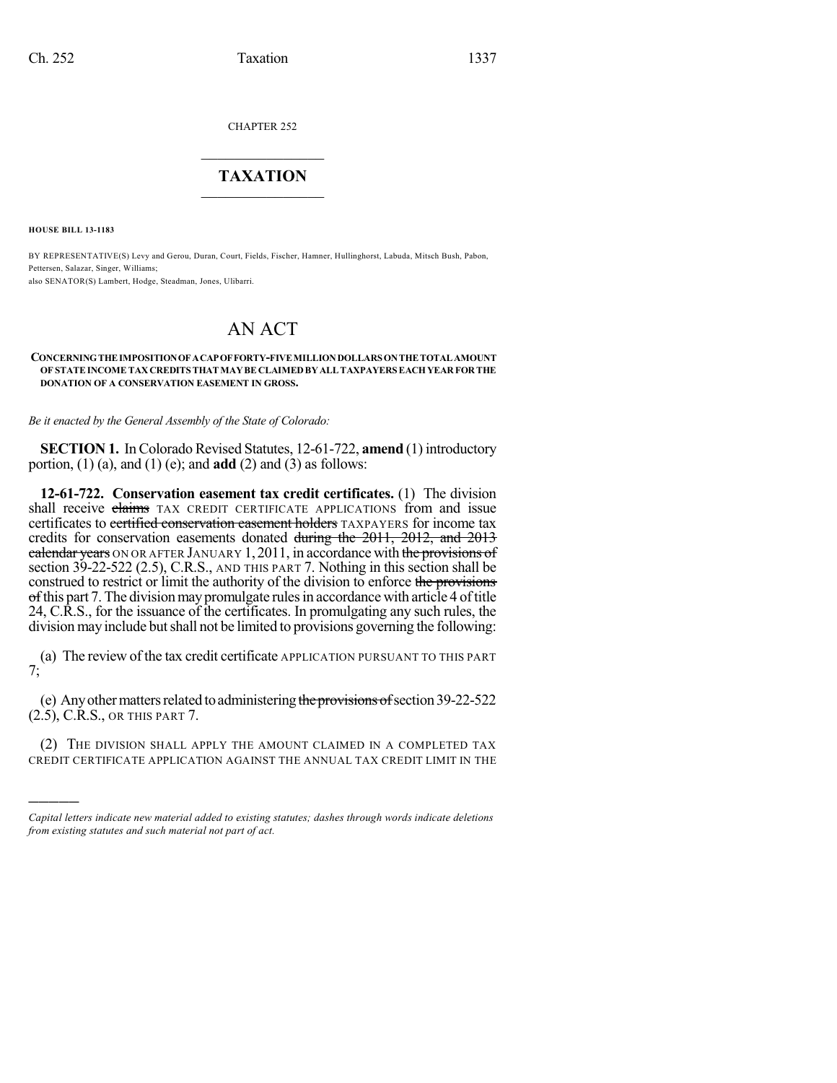CHAPTER 252

## $\mathcal{L}_\text{max}$  . The set of the set of the set of the set of the set of the set of the set of the set of the set of the set of the set of the set of the set of the set of the set of the set of the set of the set of the set **TAXATION**  $\_$

**HOUSE BILL 13-1183**

)))))

BY REPRESENTATIVE(S) Levy and Gerou, Duran, Court, Fields, Fischer, Hamner, Hullinghorst, Labuda, Mitsch Bush, Pabon, Pettersen, Salazar, Singer, Williams; also SENATOR(S) Lambert, Hodge, Steadman, Jones, Ulibarri.

## AN ACT

## **CONCERNINGTHE IMPOSITIONOFACAPOFFORTY-FIVE MILLIONDOLLARS ONTHE TOTAL AMOUNT OF STATEINCOME TAX CREDITS THAT MAYBE CLAIMEDBY ALLTAXPAYERS EACHYEAR FOR THE DONATION OF A CONSERVATION EASEMENT IN GROSS.**

*Be it enacted by the General Assembly of the State of Colorado:*

**SECTION 1.** In Colorado Revised Statutes, 12-61-722, **amend** (1) introductory portion, (1) (a), and (1) (e); and **add** (2) and (3) as follows:

**12-61-722. Conservation easement tax credit certificates.** (1) The division shall receive claims TAX CREDIT CERTIFICATE APPLICATIONS from and issue certificates to certified conservation easement holders TAXPAYERS for income tax credits for conservation easements donated during the 2011, 2012, and 2013 calendar years ON OR AFTER JANUARY 1, 2011, in accordance with the provisions of section 39-22-522 (2.5), C.R.S., AND THIS PART 7. Nothing in this section shall be construed to restrict or limit the authority of the division to enforce the provisions  $\theta$  of this part 7. The division may promulgate rules in accordance with article 4 of title 24, C.R.S., for the issuance of the certificates. In promulgating any such rules, the division may include butshall not be limited to provisions governing the following:

(a) The review of the tax credit certificate APPLICATION PURSUANT TO THIS PART 7;

(e) Any other matters related to administering the provisions of section  $39-22-522$ (2.5), C.R.S., OR THIS PART 7.

(2) THE DIVISION SHALL APPLY THE AMOUNT CLAIMED IN A COMPLETED TAX CREDIT CERTIFICATE APPLICATION AGAINST THE ANNUAL TAX CREDIT LIMIT IN THE

*Capital letters indicate new material added to existing statutes; dashes through words indicate deletions from existing statutes and such material not part of act.*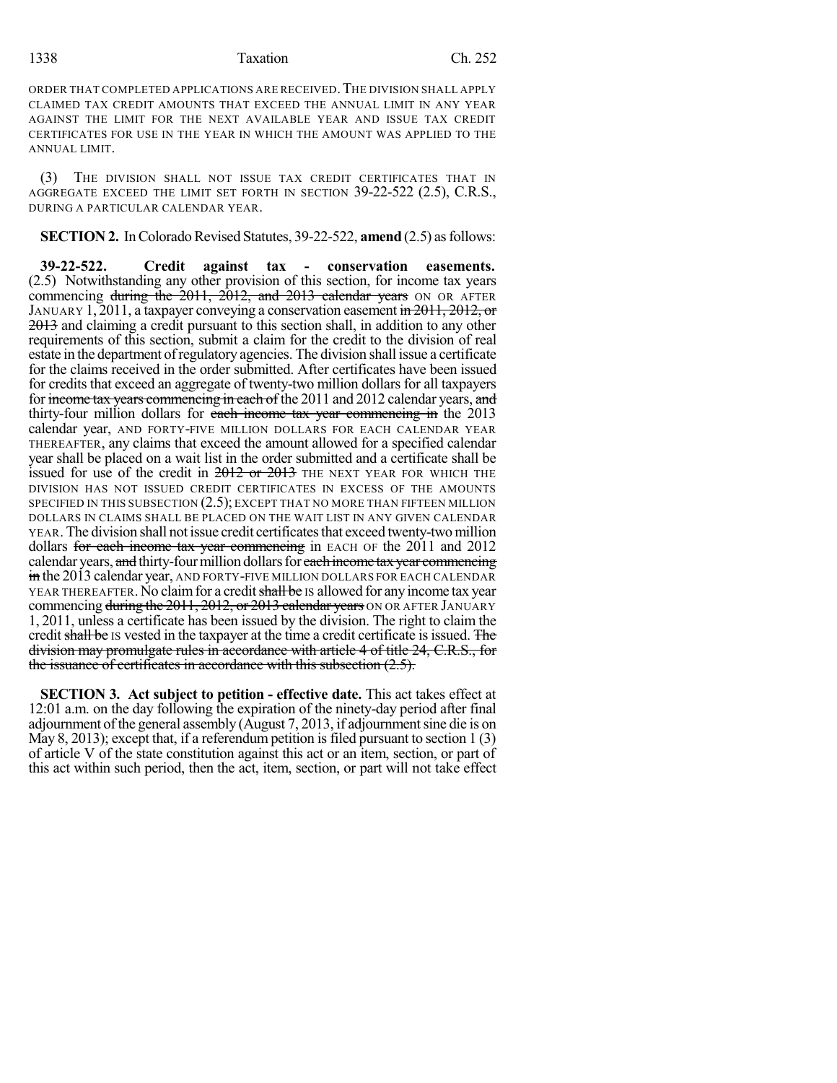## 1338 Taxation Ch. 252

ORDER THAT COMPLETED APPLICATIONS ARE RECEIVED.THE DIVISION SHALL APPLY CLAIMED TAX CREDIT AMOUNTS THAT EXCEED THE ANNUAL LIMIT IN ANY YEAR AGAINST THE LIMIT FOR THE NEXT AVAILABLE YEAR AND ISSUE TAX CREDIT CERTIFICATES FOR USE IN THE YEAR IN WHICH THE AMOUNT WAS APPLIED TO THE ANNUAL LIMIT.

(3) THE DIVISION SHALL NOT ISSUE TAX CREDIT CERTIFICATES THAT IN AGGREGATE EXCEED THE LIMIT SET FORTH IN SECTION 39-22-522 (2.5), C.R.S., DURING A PARTICULAR CALENDAR YEAR.

**SECTION 2.** In Colorado Revised Statutes, 39-22-522, **amend** (2.5) as follows:

**39-22-522. Credit against tax - conservation easements.** (2.5) Notwithstanding any other provision of this section, for income tax years commencing during the 2011, 2012, and 2013 calendar years ON OR AFTER JANUARY 1, 2011, a taxpayer conveying a conservation easement in 2011, 2012, or 2013 and claiming a credit pursuant to this section shall, in addition to any other requirements of this section, submit a claim for the credit to the division of real estate in the department ofregulatory agencies. The division shall issue a certificate for the claims received in the order submitted. After certificates have been issued for credits that exceed an aggregate of twenty-two million dollars for all taxpayers for income tax years commencing in each of the 2011 and 2012 calendar years, and thirty-four million dollars for each income tax year commencing in the 2013 calendar year, AND FORTY-FIVE MILLION DOLLARS FOR EACH CALENDAR YEAR THEREAFTER, any claims that exceed the amount allowed for a specified calendar year shall be placed on a wait list in the order submitted and a certificate shall be issued for use of the credit in  $2012$  or  $2013$  THE NEXT YEAR FOR WHICH THE DIVISION HAS NOT ISSUED CREDIT CERTIFICATES IN EXCESS OF THE AMOUNTS SPECIFIED IN THIS SUBSECTION (2.5); EXCEPT THAT NO MORE THAN FIFTEEN MILLION DOLLARS IN CLAIMS SHALL BE PLACED ON THE WAIT LIST IN ANY GIVEN CALENDAR YEAR. The division shall not issue credit certificates that exceed twenty-two million dollars for each income tax year commencing in EACH OF the 2011 and 2012 calendar years, and thirty-four million dollars for each income tax year commencing in the 2013 calendar year, AND FORTY-FIVE MILLION DOLLARS FOR EACH CALENDAR YEAR THEREAFTER. No claim for a credit shall be IS allowed for any income tax year commencing during the 2011, 2012, or 2013 calendar years ON OR AFTER JANUARY 1, 2011, unless a certificate has been issued by the division. The right to claim the credit shall be IS vested in the taxpayer at the time a credit certificate is issued. The division may promulgate rules in accordance with article 4 of title 24, C.R.S., for the issuance of certificates in accordance with this subsection (2.5).

**SECTION 3. Act subject to petition - effective date.** This act takes effect at 12:01 a.m. on the day following the expiration of the ninety-day period after final adjournment ofthe general assembly (August 7, 2013, if adjournmentsine die is on May 8, 2013); except that, if a referendum petition is filed pursuant to section 1 (3) of article V of the state constitution against this act or an item, section, or part of this act within such period, then the act, item, section, or part will not take effect